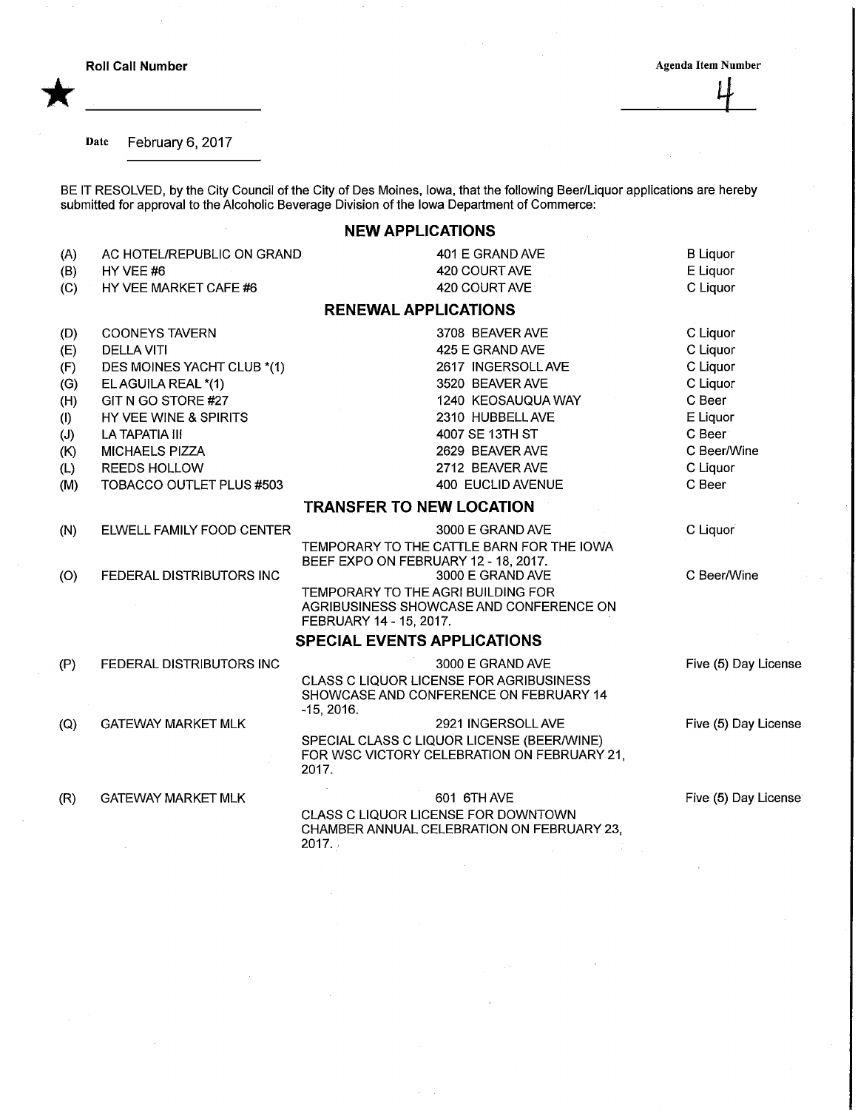\*

 $\frac{1}{\sqrt{2}}$ 

## Date February 6, 2017

BE IT RESOLVED, by the City Council of the City of Des Moines, lowa, that the following Beer/Liquor applications are hereb submitted for approval to the Alcoholic Beverage Division of the Iowa Department of Commerce:

## NEW APPLICATIONS

| (A)<br>(B)<br>(C)                      | AC HOTEL/REPUBLIC ON GRAND<br>HY VEE #6<br>HY VEE MARKET CAFE #6                                                                          | 401 E GRAND AVE<br>420 COURT AVE<br>420 COURT AVE                                                                            | <b>B</b> Liquor<br>E Liquor<br>C Liquor                           |
|----------------------------------------|-------------------------------------------------------------------------------------------------------------------------------------------|------------------------------------------------------------------------------------------------------------------------------|-------------------------------------------------------------------|
|                                        |                                                                                                                                           | <b>RENEWAL APPLICATIONS</b>                                                                                                  |                                                                   |
| (D)<br>(E)<br>(F)<br>(G)               | <b>COONEYS TAVERN</b><br><b>DELLA VITI</b><br>DES MOINES YACHT CLUB *(1)<br>EL AGUILA REAL *(1)                                           | 3708 BEAVER AVE<br>425 E GRAND AVE<br>2617 INGERSOLL AVE<br>3520 BEAVER AVE                                                  | C Liquor<br>C Liquor<br>C Liquor<br>C Liquor                      |
| (H)<br>(1)<br>(J)<br>(K)<br>(L)<br>(M) | GIT N GO STORE #27<br>HY VEE WINE & SPIRITS<br>LA TAPATIA III<br><b>MICHAELS PIZZA</b><br><b>REEDS HOLLOW</b><br>TOBACCO OUTLET PLUS #503 | 1240 KEOSAUQUA WAY<br>2310 HUBBELL AVE<br>4007 SE 13TH ST<br>2629 BEAVER AVE<br>2712 BEAVER AVE<br>400 EUCLID AVENUE         | C Beer<br>E Liquor<br>C Beer<br>C Beer/Wine<br>C Liquor<br>C Beer |
|                                        |                                                                                                                                           | <b>TRANSFER TO NEW LOCATION</b>                                                                                              |                                                                   |
| (N)                                    | ELWELL FAMILY FOOD CENTER                                                                                                                 | 3000 E GRAND AVE<br>TEMPORARY TO THE CATTLE BARN FOR THE IOWA<br>BEEF EXPO ON FEBRUARY 12 - 18, 2017.                        | C Liquor                                                          |
| (O)                                    | FEDERAL DISTRIBUTORS INC                                                                                                                  | 3000 E GRAND AVE<br>TEMPORARY TO THE AGRI BUILDING FOR<br>AGRIBUSINESS SHOWCASE AND CONFERENCE ON<br>FEBRUARY 14 - 15, 2017. | C Beer/Wine                                                       |
|                                        |                                                                                                                                           | <b>SPECIAL EVENTS APPLICATIONS</b>                                                                                           |                                                                   |
| (P)                                    | FEDERAL DISTRIBUTORS INC                                                                                                                  | 3000 E GRAND AVE<br><b>CLASS C LIQUOR LICENSE FOR AGRIBUSINESS</b><br>SHOWCASE AND CONFERENCE ON FEBRUARY 14<br>$-15, 2016.$ | Five (5) Day License                                              |
| (Q)                                    | <b>GATEWAY MARKET MLK</b>                                                                                                                 | 2921 INGERSOLL AVE<br>SPECIAL CLASS C LIQUOR LICENSE (BEER/WINE)<br>FOR WSC VICTORY CELEBRATION ON FEBRUARY 21,<br>2017.     | Five (5) Day License                                              |
| (R)                                    | <b>GATEWAY MARKET MLK</b>                                                                                                                 | 601 6TH AVE<br>CLASS C LIQUOR LICENSE FOR DOWNTOWN<br>CHAMBER ANNUAL CELEBRATION ON FEBRUARY 23,<br>2017.                    | Five (5) Day License                                              |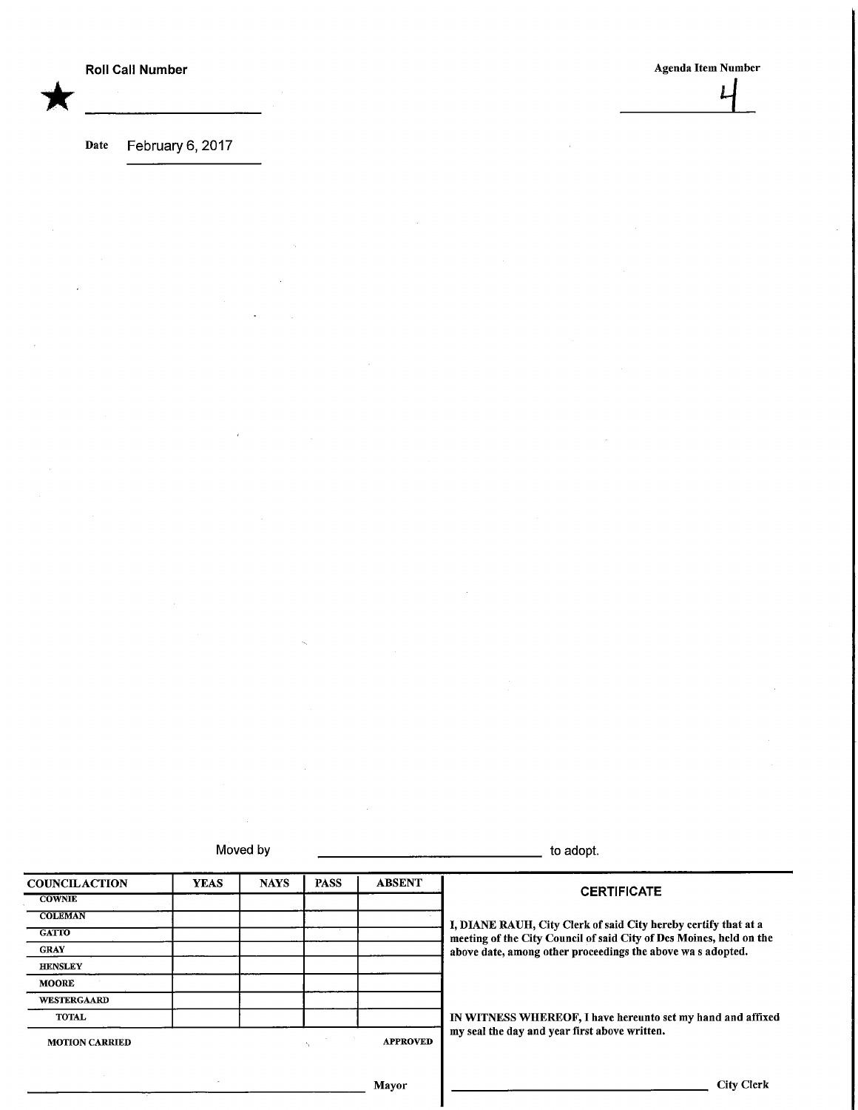\*

Roll Call Number Agents and the Agents of Agents Agents Agents Agents Agents Agents Agents are Agents and the Number  $\frac{1}{\sqrt{2}}$ 

Date February 6, 2017

Moved by to adopt.

**COUNCILACTION** COWNIE **COLEMAN GATTO** GRAY HENSLEY MOORE **WESTERGAARD** TOTAL YEAS NAYS | PASS | ABSENT MOTION CARRIED APPROVED **CERTIFICATE** I, DIANE RAUH, City Clerk of said City hereby certify that at a meeting of the City Council of said City of Des Moines, held on the above date, among other proceedings the above wa s adopted. IN WITNESS WHEREOF, I have hereunto set my hand and affixed my seal the day and year first above written.

Mayor